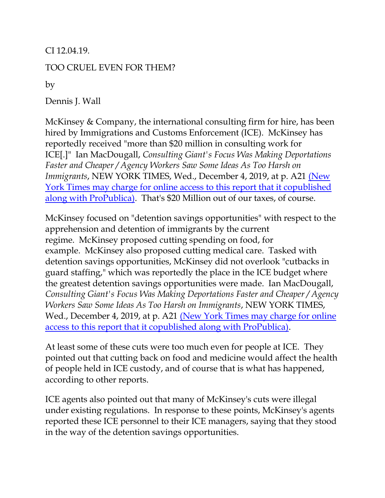CI 12.04.19.

## TOO CRUEL EVEN FOR THEM?

by

Dennis J. Wall

McKinsey & Company, the international consulting firm for hire, has been hired by Immigrations and Customs Enforcement (ICE). McKinsey has reportedly received "more than \$20 million in consulting work for ICE[.]" Ian MacDougall, *Consulting Giant's Focus Was Making Deportations Faster and Cheaper / Agency Workers Saw Some Ideas As Too Harsh on Immigrants*, NEW YORK TIMES, Wed., December 4, 2019, at p. A21 [\(New](https://www.nytimes.com/2019/12/03/us/mckinsey-ICE-immigration.html?searchResultPosition=1)  [York Times may charge for online access to this report that it copublished](https://www.nytimes.com/2019/12/03/us/mckinsey-ICE-immigration.html?searchResultPosition=1)  [along with ProPublica\).](https://www.nytimes.com/2019/12/03/us/mckinsey-ICE-immigration.html?searchResultPosition=1) That's \$20 Million out of our taxes, of course.

McKinsey focused on "detention savings opportunities" with respect to the apprehension and detention of immigrants by the current regime. McKinsey proposed cutting spending on food, for example. McKinsey also proposed cutting medical care. Tasked with detention savings opportunities, McKinsey did not overlook "cutbacks in guard staffing," which was reportedly the place in the ICE budget where the greatest detention savings opportunities were made. Ian MacDougall, *Consulting Giant's Focus Was Making Deportations Faster and Cheaper / Agency Workers Saw Some Ideas As Too Harsh on Immigrants*, NEW YORK TIMES, Wed., December 4, 2019, at p. A21 [\(New York Times may charge for online](https://www.nytimes.com/2019/12/03/us/mckinsey-ICE-immigration.html?searchResultPosition=1)  [access to this report that it copublished along with ProPublica\).](https://www.nytimes.com/2019/12/03/us/mckinsey-ICE-immigration.html?searchResultPosition=1)

At least some of these cuts were too much even for people at ICE. They pointed out that cutting back on food and medicine would affect the health of people held in ICE custody, and of course that is what has happened, according to other reports.

ICE agents also pointed out that many of McKinsey's cuts were illegal under existing regulations. In response to these points, McKinsey's agents reported these ICE personnel to their ICE managers, saying that they stood in the way of the detention savings opportunities.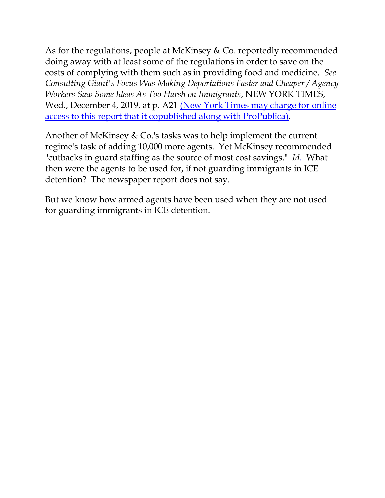As for the regulations, people at McKinsey & Co. reportedly recommended doing away with at least some of the regulations in order to save on the costs of complying with them such as in providing food and medicine. *See Consulting Giant's Focus Was Making Deportations Faster and Cheaper / Agency Workers Saw Some Ideas As Too Harsh on Immigrants*, NEW YORK TIMES, Wed., December 4, 2019, at p. A21 (New York Times may charge for online [access to this report that it copublished along with ProPublica\).](https://www.nytimes.com/2019/12/03/us/mckinsey-ICE-immigration.html?searchResultPosition=1)

Another of McKinsey & Co.'s tasks was to help implement the current regime's task of adding 10,000 more agents. Yet McKinsey recommended "cutbacks in guard staffing as the source of most cost savings." *[Id](https://www.nytimes.com/2019/12/03/us/mckinsey-ICE-immigration.html?searchResultPosition=1)*. What then were the agents to be used for, if not guarding immigrants in ICE detention? The newspaper report does not say.

But we know how armed agents have been used when they are not used for guarding immigrants in ICE detention.